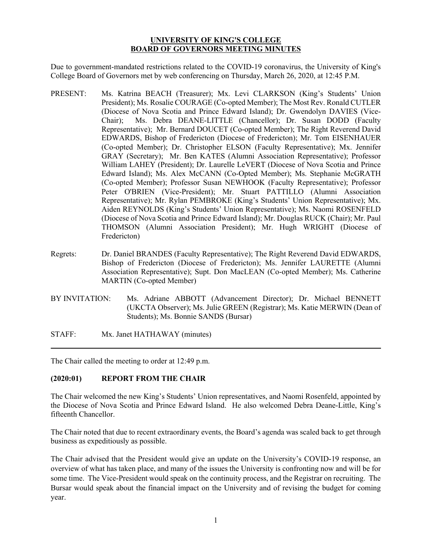### **UNIVERSITY OF KING'S COLLEGE BOARD OF GOVERNORS MEETING MINUTES**

Due to government-mandated restrictions related to the COVID-19 coronavirus, the University of King's College Board of Governors met by web conferencing on Thursday, March 26, 2020, at 12:45 P.M.

- PRESENT: Ms. Katrina BEACH (Treasurer); Mx. Levi CLARKSON (King's Students' Union President); Ms. Rosalie COURAGE (Co-opted Member); The Most Rev. Ronald CUTLER (Diocese of Nova Scotia and Prince Edward Island); Dr. Gwendolyn DAVIES (Vice-Chair); Ms. Debra DEANE-LITTLE (Chancellor); Dr. Susan DODD (Faculty Representative); Mr. Bernard DOUCET (Co-opted Member); The Right Reverend David EDWARDS, Bishop of Fredericton (Diocese of Fredericton); Mr. Tom EISENHAUER (Co-opted Member); Dr. Christopher ELSON (Faculty Representative); Mx. Jennifer GRAY (Secretary); Mr. Ben KATES (Alumni Association Representative); Professor William LAHEY (President); Dr. Laurelle LeVERT (Diocese of Nova Scotia and Prince Edward Island); Ms. Alex McCANN (Co-Opted Member); Ms. Stephanie McGRATH (Co-opted Member); Professor Susan NEWHOOK (Faculty Representative); Professor Peter O'BRIEN (Vice-President); Mr. Stuart PATTILLO (Alumni Association Representative); Mr. Rylan PEMBROKE (King's Students' Union Representative); Mx. Aiden REYNOLDS (King's Students' Union Representative); Ms. Naomi ROSENFELD (Diocese of Nova Scotia and Prince Edward Island); Mr. Douglas RUCK (Chair); Mr. Paul THOMSON (Alumni Association President); Mr. Hugh WRIGHT (Diocese of Fredericton)
- Regrets: Dr. Daniel BRANDES (Faculty Representative); The Right Reverend David EDWARDS, Bishop of Fredericton (Diocese of Fredericton); Ms. Jennifer LAURETTE (Alumni Association Representative); Supt. Don MacLEAN (Co-opted Member); Ms. Catherine MARTIN (Co-opted Member)
- BY INVITATION: Ms. Adriane ABBOTT (Advancement Director); Dr. Michael BENNETT (UKCTA Observer); Ms. Julie GREEN (Registrar); Ms. Katie MERWIN (Dean of Students); Ms. Bonnie SANDS (Bursar)
- STAFF: Mx. Janet HATHAWAY (minutes)

The Chair called the meeting to order at 12:49 p.m.

# **(2020:01) REPORT FROM THE CHAIR**

The Chair welcomed the new King's Students' Union representatives, and Naomi Rosenfeld, appointed by the Diocese of Nova Scotia and Prince Edward Island. He also welcomed Debra Deane-Little, King's fifteenth Chancellor.

The Chair noted that due to recent extraordinary events, the Board's agenda was scaled back to get through business as expeditiously as possible.

The Chair advised that the President would give an update on the University's COVID-19 response, an overview of what has taken place, and many of the issues the University is confronting now and will be for some time. The Vice-President would speak on the continuity process, and the Registrar on recruiting. The Bursar would speak about the financial impact on the University and of revising the budget for coming year.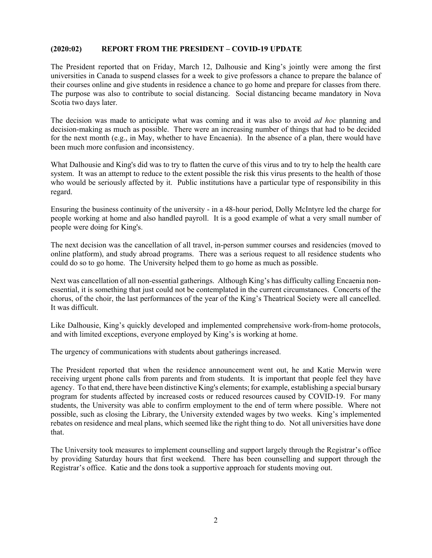## **(2020:02) REPORT FROM THE PRESIDENT – COVID-19 UPDATE**

The President reported that on Friday, March 12, Dalhousie and King's jointly were among the first universities in Canada to suspend classes for a week to give professors a chance to prepare the balance of their courses online and give students in residence a chance to go home and prepare for classes from there. The purpose was also to contribute to social distancing. Social distancing became mandatory in Nova Scotia two days later.

The decision was made to anticipate what was coming and it was also to avoid *ad hoc* planning and decision-making as much as possible. There were an increasing number of things that had to be decided for the next month (e.g., in May, whether to have Encaenia). In the absence of a plan, there would have been much more confusion and inconsistency.

What Dalhousie and King's did was to try to flatten the curve of this virus and to try to help the health care system. It was an attempt to reduce to the extent possible the risk this virus presents to the health of those who would be seriously affected by it. Public institutions have a particular type of responsibility in this regard.

Ensuring the business continuity of the university - in a 48-hour period, Dolly McIntyre led the charge for people working at home and also handled payroll. It is a good example of what a very small number of people were doing for King's.

The next decision was the cancellation of all travel, in-person summer courses and residencies (moved to online platform), and study abroad programs. There was a serious request to all residence students who could do so to go home. The University helped them to go home as much as possible.

Next was cancellation of all non-essential gatherings. Although King's has difficulty calling Encaenia nonessential, it is something that just could not be contemplated in the current circumstances. Concerts of the chorus, of the choir, the last performances of the year of the King's Theatrical Society were all cancelled. It was difficult.

Like Dalhousie, King's quickly developed and implemented comprehensive work-from-home protocols, and with limited exceptions, everyone employed by King's is working at home.

The urgency of communications with students about gatherings increased.

The President reported that when the residence announcement went out, he and Katie Merwin were receiving urgent phone calls from parents and from students. It is important that people feel they have agency. To that end, there have been distinctive King's elements; for example, establishing a special bursary program for students affected by increased costs or reduced resources caused by COVID-19. For many students, the University was able to confirm employment to the end of term where possible. Where not possible, such as closing the Library, the University extended wages by two weeks. King's implemented rebates on residence and meal plans, which seemed like the right thing to do. Not all universities have done that.

The University took measures to implement counselling and support largely through the Registrar's office by providing Saturday hours that first weekend. There has been counselling and support through the Registrar's office. Katie and the dons took a supportive approach for students moving out.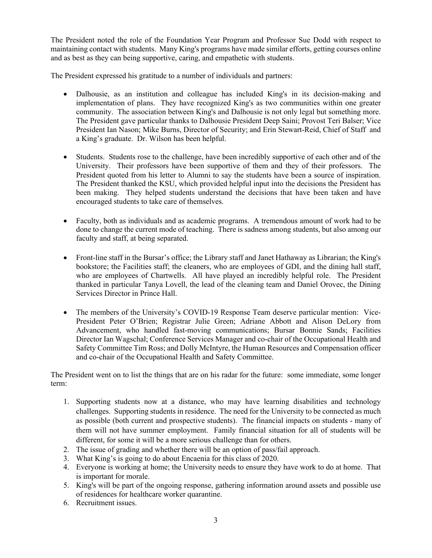The President noted the role of the Foundation Year Program and Professor Sue Dodd with respect to maintaining contact with students. Many King's programs have made similar efforts, getting courses online and as best as they can being supportive, caring, and empathetic with students.

The President expressed his gratitude to a number of individuals and partners:

- Dalhousie, as an institution and colleague has included King's in its decision-making and implementation of plans. They have recognized King's as two communities within one greater community. The association between King's and Dalhousie is not only legal but something more. The President gave particular thanks to Dalhousie President Deep Saini; Provost Teri Balser; Vice President Ian Nason; Mike Burns, Director of Security; and Erin Stewart-Reid, Chief of Staff and a King's graduate. Dr. Wilson has been helpful.
- Students. Students rose to the challenge, have been incredibly supportive of each other and of the University. Their professors have been supportive of them and they of their professors. The President quoted from his letter to Alumni to say the students have been a source of inspiration. The President thanked the KSU, which provided helpful input into the decisions the President has been making. They helped students understand the decisions that have been taken and have encouraged students to take care of themselves.
- Faculty, both as individuals and as academic programs. A tremendous amount of work had to be done to change the current mode of teaching. There is sadness among students, but also among our faculty and staff, at being separated.
- Front-line staff in the Bursar's office; the Library staff and Janet Hathaway as Librarian; the King's bookstore; the Facilities staff; the cleaners, who are employees of GDI, and the dining hall staff, who are employees of Chartwells. All have played an incredibly helpful role. The President thanked in particular Tanya Lovell, the lead of the cleaning team and Daniel Orovec, the Dining Services Director in Prince Hall.
- The members of the University's COVID-19 Response Team deserve particular mention: Vice-President Peter O'Brien; Registrar Julie Green; Adriane Abbott and Alison DeLory from Advancement, who handled fast-moving communications; Bursar Bonnie Sands; Facilities Director Ian Wagschal; Conference Services Manager and co-chair of the Occupational Health and Safety Committee Tim Ross; and Dolly McIntyre, the Human Resources and Compensation officer and co-chair of the Occupational Health and Safety Committee.

The President went on to list the things that are on his radar for the future: some immediate, some longer term:

- 1. Supporting students now at a distance, who may have learning disabilities and technology challenges. Supporting students in residence. The need for the University to be connected as much as possible (both current and prospective students). The financial impacts on students - many of them will not have summer employment. Family financial situation for all of students will be different, for some it will be a more serious challenge than for others.
- 2. The issue of grading and whether there will be an option of pass/fail approach.
- 3. What King's is going to do about Encaenia for this class of 2020.
- 4. Everyone is working at home; the University needs to ensure they have work to do at home. That is important for morale.
- 5. King's will be part of the ongoing response, gathering information around assets and possible use of residences for healthcare worker quarantine.
- 6. Recruitment issues.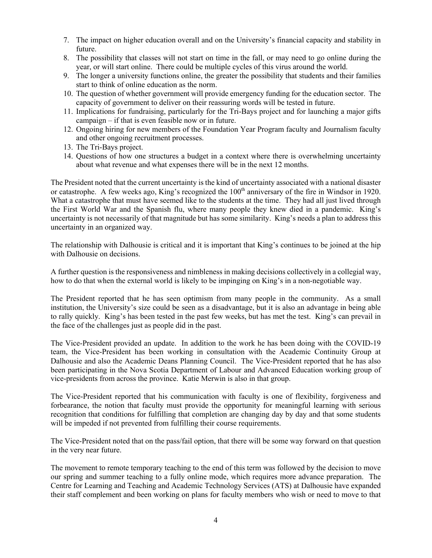- 7. The impact on higher education overall and on the University's financial capacity and stability in future.
- 8. The possibility that classes will not start on time in the fall, or may need to go online during the year, or will start online. There could be multiple cycles of this virus around the world.
- 9. The longer a university functions online, the greater the possibility that students and their families start to think of online education as the norm.
- 10. The question of whether government will provide emergency funding for the education sector. The capacity of government to deliver on their reassuring words will be tested in future.
- 11. Implications for fundraising, particularly for the Tri-Bays project and for launching a major gifts campaign – if that is even feasible now or in future.
- 12. Ongoing hiring for new members of the Foundation Year Program faculty and Journalism faculty and other ongoing recruitment processes.
- 13. The Tri-Bays project.
- 14. Questions of how one structures a budget in a context where there is overwhelming uncertainty about what revenue and what expenses there will be in the next 12 months.

The President noted that the current uncertainty is the kind of uncertainty associated with a national disaster or catastrophe. A few weeks ago, King's recognized the 100<sup>th</sup> anniversary of the fire in Windsor in 1920. What a catastrophe that must have seemed like to the students at the time. They had all just lived through the First World War and the Spanish flu, where many people they knew died in a pandemic. King's uncertainty is not necessarily of that magnitude but has some similarity. King's needs a plan to address this uncertainty in an organized way.

The relationship with Dalhousie is critical and it is important that King's continues to be joined at the hip with Dalhousie on decisions.

A further question is the responsiveness and nimbleness in making decisions collectively in a collegial way, how to do that when the external world is likely to be impinging on King's in a non-negotiable way.

The President reported that he has seen optimism from many people in the community. As a small institution, the University's size could be seen as a disadvantage, but it is also an advantage in being able to rally quickly. King's has been tested in the past few weeks, but has met the test. King's can prevail in the face of the challenges just as people did in the past.

The Vice-President provided an update. In addition to the work he has been doing with the COVID-19 team, the Vice-President has been working in consultation with the Academic Continuity Group at Dalhousie and also the Academic Deans Planning Council. The Vice-President reported that he has also been participating in the Nova Scotia Department of Labour and Advanced Education working group of vice-presidents from across the province. Katie Merwin is also in that group.

The Vice-President reported that his communication with faculty is one of flexibility, forgiveness and forbearance, the notion that faculty must provide the opportunity for meaningful learning with serious recognition that conditions for fulfilling that completion are changing day by day and that some students will be impeded if not prevented from fulfilling their course requirements.

The Vice-President noted that on the pass/fail option, that there will be some way forward on that question in the very near future.

The movement to remote temporary teaching to the end of this term was followed by the decision to move our spring and summer teaching to a fully online mode, which requires more advance preparation. The Centre for Learning and Teaching and Academic Technology Services (ATS) at Dalhousie have expanded their staff complement and been working on plans for faculty members who wish or need to move to that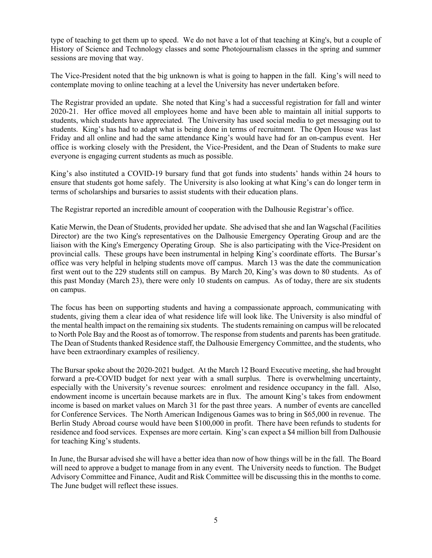type of teaching to get them up to speed. We do not have a lot of that teaching at King's, but a couple of History of Science and Technology classes and some Photojournalism classes in the spring and summer sessions are moving that way.

The Vice-President noted that the big unknown is what is going to happen in the fall. King's will need to contemplate moving to online teaching at a level the University has never undertaken before.

The Registrar provided an update. She noted that King's had a successful registration for fall and winter 2020-21. Her office moved all employees home and have been able to maintain all initial supports to students, which students have appreciated. The University has used social media to get messaging out to students. King's has had to adapt what is being done in terms of recruitment. The Open House was last Friday and all online and had the same attendance King's would have had for an on-campus event. Her office is working closely with the President, the Vice-President, and the Dean of Students to make sure everyone is engaging current students as much as possible.

King's also instituted a COVID-19 bursary fund that got funds into students' hands within 24 hours to ensure that students got home safely. The University is also looking at what King's can do longer term in terms of scholarships and bursaries to assist students with their education plans.

The Registrar reported an incredible amount of cooperation with the Dalhousie Registrar's office.

Katie Merwin, the Dean of Students, provided her update. She advised that she and Ian Wagschal (Facilities Director) are the two King's representatives on the Dalhousie Emergency Operating Group and are the liaison with the King's Emergency Operating Group. She is also participating with the Vice-President on provincial calls. These groups have been instrumental in helping King's coordinate efforts. The Bursar's office was very helpful in helping students move off campus. March 13 was the date the communication first went out to the 229 students still on campus. By March 20, King's was down to 80 students. As of this past Monday (March 23), there were only 10 students on campus. As of today, there are six students on campus.

The focus has been on supporting students and having a compassionate approach, communicating with students, giving them a clear idea of what residence life will look like. The University is also mindful of the mental health impact on the remaining six students. The students remaining on campus will be relocated to North Pole Bay and the Roost as of tomorrow. The response from students and parents has been gratitude. The Dean of Students thanked Residence staff, the Dalhousie Emergency Committee, and the students, who have been extraordinary examples of resiliency.

The Bursar spoke about the 2020-2021 budget. At the March 12 Board Executive meeting, she had brought forward a pre-COVID budget for next year with a small surplus. There is overwhelming uncertainty, especially with the University's revenue sources: enrolment and residence occupancy in the fall. Also, endowment income is uncertain because markets are in flux. The amount King's takes from endowment income is based on market values on March 31 for the past three years. A number of events are cancelled for Conference Services. The North American Indigenous Games was to bring in \$65,000 in revenue. The Berlin Study Abroad course would have been \$100,000 in profit. There have been refunds to students for residence and food services. Expenses are more certain. King's can expect a \$4 million bill from Dalhousie for teaching King's students.

In June, the Bursar advised she will have a better idea than now of how things will be in the fall. The Board will need to approve a budget to manage from in any event. The University needs to function. The Budget Advisory Committee and Finance, Audit and Risk Committee will be discussing this in the months to come. The June budget will reflect these issues.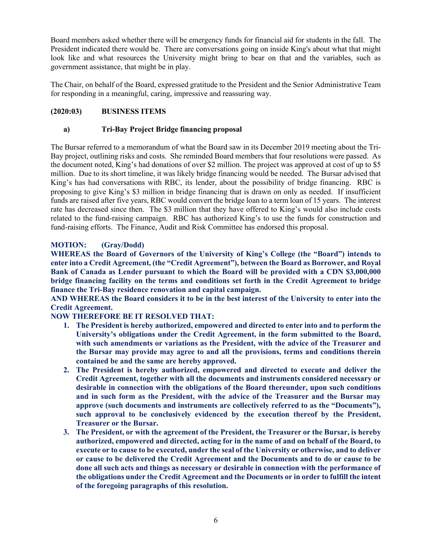Board members asked whether there will be emergency funds for financial aid for students in the fall. The President indicated there would be. There are conversations going on inside King's about what that might look like and what resources the University might bring to bear on that and the variables, such as government assistance, that might be in play.

The Chair, on behalf of the Board, expressed gratitude to the President and the Senior Administrative Team for responding in a meaningful, caring, impressive and reassuring way.

## **(2020:03) BUSINESS ITEMS**

### **a) Tri-Bay Project Bridge financing proposal**

The Bursar referred to a memorandum of what the Board saw in its December 2019 meeting about the Tri-Bay project, outlining risks and costs. She reminded Board members that four resolutions were passed. As the document noted, King's had donations of over \$2 million. The project was approved at cost of up to \$5 million. Due to its short timeline, it was likely bridge financing would be needed. The Bursar advised that King's has had conversations with RBC, its lender, about the possibility of bridge financing. RBC is proposing to give King's \$3 million in bridge financing that is drawn on only as needed. If insufficient funds are raised after five years, RBC would convert the bridge loan to a term loan of 15 years. The interest rate has decreased since then. The \$3 million that they have offered to King's would also include costs related to the fund-raising campaign. RBC has authorized King's to use the funds for construction and fund-raising efforts. The Finance, Audit and Risk Committee has endorsed this proposal.

## **MOTION: (Gray/Dodd)**

**WHEREAS the Board of Governors of the University of King's College (the "Board") intends to enter into a Credit Agreement, (the "Credit Agreement"), between the Board as Borrower, and Royal Bank of Canada as Lender pursuant to which the Board will be provided with a CDN \$3,000,000 bridge financing facility on the terms and conditions set forth in the Credit Agreement to bridge finance the Tri-Bay residence renovation and capital campaign.**

**AND WHEREAS the Board considers it to be in the best interest of the University to enter into the Credit Agreement.**

**NOW THEREFORE BE IT RESOLVED THAT:**

- **1. The President is hereby authorized, empowered and directed to enter into and to perform the University's obligations under the Credit Agreement, in the form submitted to the Board, with such amendments or variations as the President, with the advice of the Treasurer and the Bursar may provide may agree to and all the provisions, terms and conditions therein contained be and the same are hereby approved.**
- **2. The President is hereby authorized, empowered and directed to execute and deliver the Credit Agreement, together with all the documents and instruments considered necessary or desirable in connection with the obligations of the Board thereunder, upon such conditions and in such form as the President, with the advice of the Treasurer and the Bursar may approve (such documents and instruments are collectively referred to as the "Documents"), such approval to be conclusively evidenced by the execution thereof by the President, Treasurer or the Bursar.**
- **3. The President, or with the agreement of the President, the Treasurer or the Bursar, is hereby authorized, empowered and directed, acting for in the name of and on behalf of the Board, to execute or to cause to be executed, under the seal of the University or otherwise, and to deliver or cause to be delivered the Credit Agreement and the Documents and to do or cause to be done all such acts and things as necessary or desirable in connection with the performance of the obligations under the Credit Agreement and the Documents or in order to fulfill the intent of the foregoing paragraphs of this resolution.**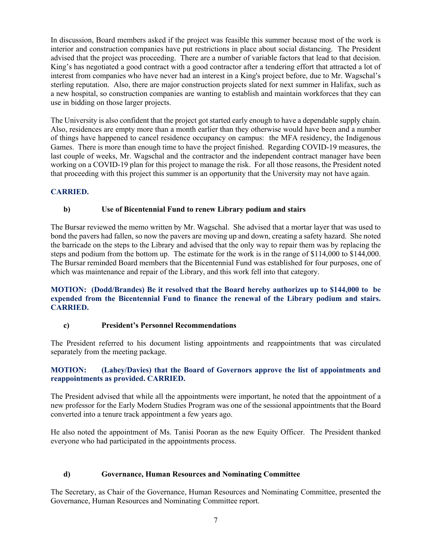In discussion, Board members asked if the project was feasible this summer because most of the work is interior and construction companies have put restrictions in place about social distancing. The President advised that the project was proceeding. There are a number of variable factors that lead to that decision. King's has negotiated a good contract with a good contractor after a tendering effort that attracted a lot of interest from companies who have never had an interest in a King's project before, due to Mr. Wagschal's sterling reputation. Also, there are major construction projects slated for next summer in Halifax, such as a new hospital, so construction companies are wanting to establish and maintain workforces that they can use in bidding on those larger projects.

The University is also confident that the project got started early enough to have a dependable supply chain. Also, residences are empty more than a month earlier than they otherwise would have been and a number of things have happened to cancel residence occupancy on campus: the MFA residency, the Indigenous Games. There is more than enough time to have the project finished. Regarding COVID-19 measures, the last couple of weeks, Mr. Wagschal and the contractor and the independent contract manager have been working on a COVID-19 plan for this project to manage the risk. For all those reasons, the President noted that proceeding with this project this summer is an opportunity that the University may not have again.

## **CARRIED.**

## **b) Use of Bicentennial Fund to renew Library podium and stairs**

The Bursar reviewed the memo written by Mr. Wagschal. She advised that a mortar layer that was used to bond the pavers had fallen, so now the pavers are moving up and down, creating a safety hazard. She noted the barricade on the steps to the Library and advised that the only way to repair them was by replacing the steps and podium from the bottom up. The estimate for the work is in the range of \$114,000 to \$144,000. The Bursar reminded Board members that the Bicentennial Fund was established for four purposes, one of which was maintenance and repair of the Library, and this work fell into that category.

#### **MOTION: (Dodd/Brandes) Be it resolved that the Board hereby authorizes up to \$144,000 to be expended from the Bicentennial Fund to finance the renewal of the Library podium and stairs. CARRIED.**

#### **c) President's Personnel Recommendations**

The President referred to his document listing appointments and reappointments that was circulated separately from the meeting package.

#### **MOTION: (Lahey/Davies) that the Board of Governors approve the list of appointments and reappointments as provided. CARRIED.**

The President advised that while all the appointments were important, he noted that the appointment of a new professor for the Early Modern Studies Program was one of the sessional appointments that the Board converted into a tenure track appointment a few years ago.

He also noted the appointment of Ms. Tanisi Pooran as the new Equity Officer. The President thanked everyone who had participated in the appointments process.

#### **d) Governance, Human Resources and Nominating Committee**

The Secretary, as Chair of the Governance, Human Resources and Nominating Committee, presented the Governance, Human Resources and Nominating Committee report.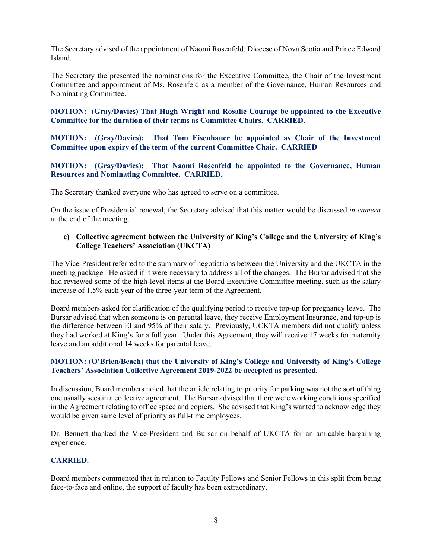The Secretary advised of the appointment of Naomi Rosenfeld, Diocese of Nova Scotia and Prince Edward Island.

The Secretary the presented the nominations for the Executive Committee, the Chair of the Investment Committee and appointment of Ms. Rosenfeld as a member of the Governance, Human Resources and Nominating Committee.

**MOTION: (Gray/Davies) That Hugh Wright and Rosalie Courage be appointed to the Executive Committee for the duration of their terms as Committee Chairs. CARRIED.**

**MOTION: (Gray/Davies): That Tom Eisenhauer be appointed as Chair of the Investment Committee upon expiry of the term of the current Committee Chair. CARRIED**

### **MOTION: (Gray/Davies): That Naomi Rosenfeld be appointed to the Governance, Human Resources and Nominating Committee. CARRIED.**

The Secretary thanked everyone who has agreed to serve on a committee.

On the issue of Presidential renewal, the Secretary advised that this matter would be discussed *in camera* at the end of the meeting.

## **e) Collective agreement between the University of King's College and the University of King's College Teachers' Association (UKCTA)**

The Vice-President referred to the summary of negotiations between the University and the UKCTA in the meeting package. He asked if it were necessary to address all of the changes. The Bursar advised that she had reviewed some of the high-level items at the Board Executive Committee meeting, such as the salary increase of 1.5% each year of the three-year term of the Agreement.

Board members asked for clarification of the qualifying period to receive top-up for pregnancy leave. The Bursar advised that when someone is on parental leave, they receive Employment Insurance, and top-up is the difference between EI and 95% of their salary. Previously, UCKTA members did not qualify unless they had worked at King's for a full year. Under this Agreement, they will receive 17 weeks for maternity leave and an additional 14 weeks for parental leave.

## **MOTION: (O'Brien/Beach) that the University of King's College and University of King's College Teachers' Association Collective Agreement 2019-2022 be accepted as presented.**

In discussion, Board members noted that the article relating to priority for parking was not the sort of thing one usually sees in a collective agreement. The Bursar advised that there were working conditions specified in the Agreement relating to office space and copiers. She advised that King's wanted to acknowledge they would be given same level of priority as full-time employees.

Dr. Bennett thanked the Vice-President and Bursar on behalf of UKCTA for an amicable bargaining experience.

# **CARRIED.**

Board members commented that in relation to Faculty Fellows and Senior Fellows in this split from being face-to-face and online, the support of faculty has been extraordinary.